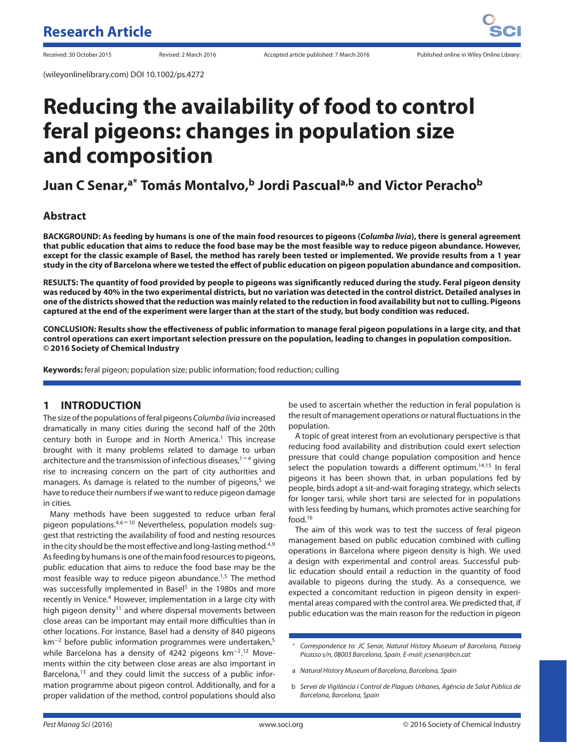(wileyonlinelibrary.com) DOI 10.1002/ps.4272

# **Reducing the availability of food to control feral pigeons: changes in population size and composition**

# **Juan C Senar,a\* Tomás Montalvo,b Jordi Pascuala,b and Victor Perachob**

# **Abstract**

**BACKGROUND: As feeding by humans is one of the main food resources to pigeons (***Columba livia***), there is general agreement that public education that aims to reduce the food base may be the most feasible way to reduce pigeon abundance. However, except for the classic example of Basel, the method has rarely been tested or implemented. We provide results from a 1 year study in the city of Barcelona where we tested the effect of public education on pigeon population abundance and composition.**

**RESULTS: The quantity of food provided by people to pigeons was significantly reduced during the study. Feral pigeon density was reduced by 40% in the two experimental districts, but no variation was detected in the control district. Detailed analyses in one of the districts showed that the reduction was mainly related to the reduction in food availability but not to culling. Pigeons captured at the end of the experiment were larger than at the start of the study, but body condition was reduced.**

**CONCLUSION: Results show the effectiveness of public information to manage feral pigeon populations in a large city, and that control operations can exert important selection pressure on the population, leading to changes in population composition. © 2016 Society of Chemical Industry**

**Keywords:** feral pigeon; population size; public information; food reduction; culling

# **1 INTRODUCTION**

The size of the populations of feral pigeons Columba livia increased dramatically in many cities during the second half of the 20th century both in Europe and in North America.<sup>1</sup> This increase brought with it many problems related to damage to urban architecture and the transmission of infectious diseases, $1 - 4$  giving rise to increasing concern on the part of city authorities and managers. As damage is related to the number of pigeons, $5$  we have to reduce their numbers if we want to reduce pigeon damage in cities.

Many methods have been suggested to reduce urban feral pigeon populations.<sup>4,6-10</sup> Nevertheless, population models suggest that restricting the availability of food and nesting resources in the city should be the most effective and long-lasting method.4*,*<sup>9</sup> As feeding by humans is one of the main food resources to pigeons, public education that aims to reduce the food base may be the most feasible way to reduce pigeon abundance.1*,*<sup>5</sup> The method was successfully implemented in Basel<sup>5</sup> in the 1980s and more recently in Venice.<sup>4</sup> However, implementation in a large city with high pigeon density $^{11}$  and where dispersal movements between close areas can be important may entail more difficulties than in other locations. For instance, Basel had a density of 840 pigeons km<sup>-2</sup> before public information programmes were undertaken,<sup>5</sup> while Barcelona has a density of 4242 pigeons km<sup>-2</sup>.<sup>12</sup> Movements within the city between close areas are also important in Barcelona, $13$  and they could limit the success of a public information programme about pigeon control. Additionally, and for a proper validation of the method, control populations should also

be used to ascertain whether the reduction in feral population is the result of management operations or natural fluctuations in the population.

A topic of great interest from an evolutionary perspective is that reducing food availability and distribution could exert selection pressure that could change population composition and hence select the population towards a different optimum.14*,*<sup>15</sup> In feral pigeons it has been shown that, in urban populations fed by people, birds adopt a sit-and-wait foraging strategy, which selects for longer tarsi, while short tarsi are selected for in populations with less feeding by humans, which promotes active searching for food.16

The aim of this work was to test the success of feral pigeon management based on public education combined with culling operations in Barcelona where pigeon density is high. We used a design with experimental and control areas. Successful public education should entail a reduction in the quantity of food available to pigeons during the study. As a consequence, we expected a concomitant reduction in pigeon density in experimental areas compared with the control area. We predicted that, if public education was the main reason for the reduction in pigeon

- a Natural History Museum of Barcelona, Barcelona, Spain
- b Servei de Vigilància i Control de Plagues Urbanes, Agència de Salut Pública de Barcelona, Barcelona, Spain

Correspondence to: JC Senar, Natural History Museum of Barcelona, Passeig Picasso s/n, 08003 Barcelona, Spain. E-mail: jcsenar@bcn.cat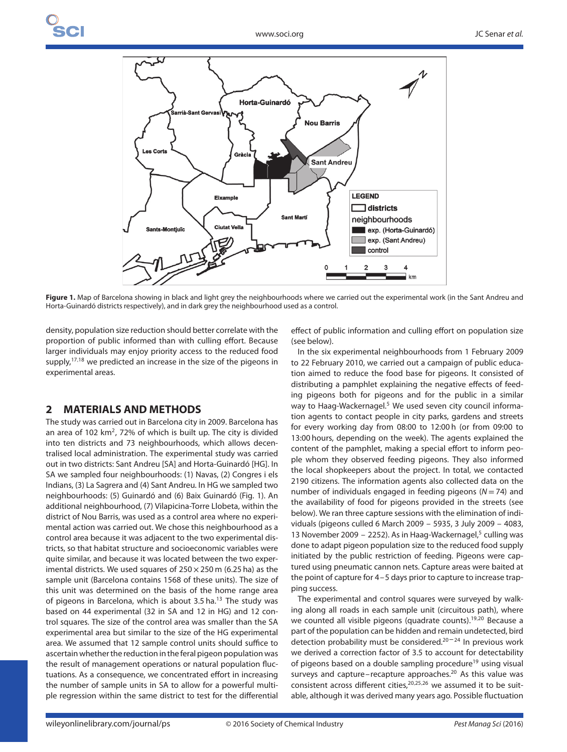

**Figure 1.** Map of Barcelona showing in black and light grey the neighbourhoods where we carried out the experimental work (in the Sant Andreu and Horta-Guinardó districts respectively), and in dark grey the neighbourhood used as a control.

density, population size reduction should better correlate with the proportion of public informed than with culling effort. Because larger individuals may enjoy priority access to the reduced food supply,<sup>17,18</sup> we predicted an increase in the size of the pigeons in experimental areas.

# **2 MATERIALS AND METHODS**

The study was carried out in Barcelona city in 2009. Barcelona has an area of 102 km<sup>2</sup>, 72% of which is built up. The city is divided into ten districts and 73 neighbourhoods, which allows decentralised local administration. The experimental study was carried out in two districts: Sant Andreu [SA] and Horta-Guinardó [HG]. In SA we sampled four neighbourhoods: (1) Navas, (2) Congres i els Indians, (3) La Sagrera and (4) Sant Andreu. In HG we sampled two neighbourhoods: (5) Guinardó and (6) Baix Guinardó (Fig. 1). An additional neighbourhood, (7) Vilapicina-Torre Llobeta, within the district of Nou Barris, was used as a control area where no experimental action was carried out. We chose this neighbourhood as a control area because it was adjacent to the two experimental districts, so that habitat structure and socioeconomic variables were quite similar, and because it was located between the two experimental districts. We used squares of  $250 \times 250$  m (6.25 ha) as the sample unit (Barcelona contains 1568 of these units). The size of this unit was determined on the basis of the home range area of pigeons in Barcelona, which is about 3.5 ha.<sup>13</sup> The study was based on 44 experimental (32 in SA and 12 in HG) and 12 control squares. The size of the control area was smaller than the SA experimental area but similar to the size of the HG experimental area. We assumed that 12 sample control units should suffice to ascertain whether the reduction in theferal pigeon population was the result of management operations or natural population fluctuations. As a consequence, we concentrated effort in increasing the number of sample units in SA to allow for a powerful multiple regression within the same district to test for the differential

effect of public information and culling effort on population size (see below).

In the six experimental neighbourhoods from 1 February 2009 to 22 February 2010, we carried out a campaign of public education aimed to reduce the food base for pigeons. It consisted of distributing a pamphlet explaining the negative effects of feeding pigeons both for pigeons and for the public in a similar way to Haag-Wackernagel.<sup>5</sup> We used seven city council information agents to contact people in city parks, gardens and streets for every working day from 08:00 to 12:00 h (or from 09:00 to 13:00 hours, depending on the week). The agents explained the content of the pamphlet, making a special effort to inform people whom they observed feeding pigeons. They also informed the local shopkeepers about the project. In total, we contacted 2190 citizens. The information agents also collected data on the number of individuals engaged in feeding pigeons ( $N = 74$ ) and the availability of food for pigeons provided in the streets (see below). We ran three capture sessions with the elimination of individuals (pigeons culled 6 March 2009 – 5935, 3 July 2009 – 4083, 13 November 2009 - 2252). As in Haag-Wackernagel, $5$  culling was done to adapt pigeon population size to the reduced food supply initiated by the public restriction of feeding. Pigeons were captured using pneumatic cannon nets. Capture areas were baited at the point of capture for 4–5 days prior to capture to increase trapping success.

The experimental and control squares were surveyed by walking along all roads in each sample unit (circuitous path), where we counted all visible pigeons (quadrate counts).19*,*<sup>20</sup> Because a part of the population can be hidden and remain undetected, bird detection probability must be considered.<sup>20-24</sup> In previous work we derived a correction factor of 3.5 to account for detectability of pigeons based on a double sampling procedure<sup>19</sup> using visual surveys and capture–recapture approaches.<sup>20</sup> As this value was consistent across different cities,<sup>20,25,26</sup> we assumed it to be suitable, although it was derived many years ago. Possible fluctuation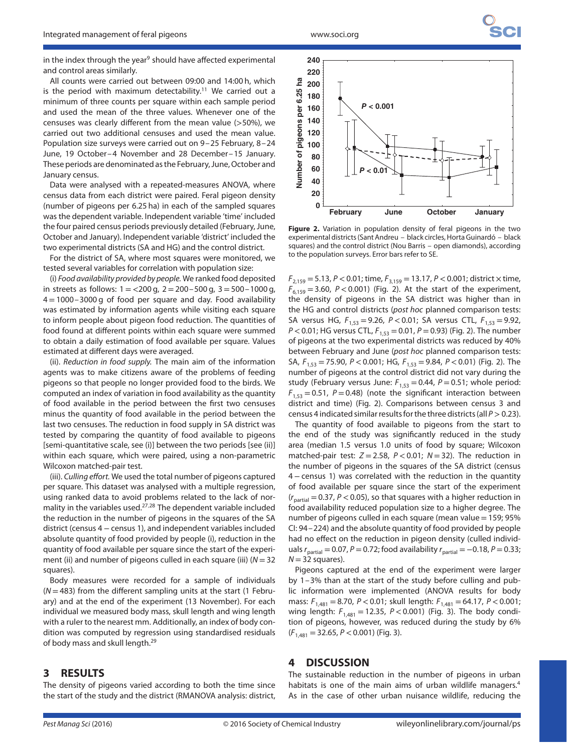in the index through the year<sup>9</sup> should have affected experimental and control areas similarly.

All counts were carried out between 09:00 and 14:00 h, which is the period with maximum detectability.<sup>11</sup> We carried out a minimum of three counts per square within each sample period and used the mean of the three values. Whenever one of the censuses was clearly different from the mean value (*>*50%), we carried out two additional censuses and used the mean value. Population size surveys were carried out on 9–25 February, 8–24 June, 19 October–4 November and 28 December–15 January. These periods are denominated as the February, June, October and January census.

Data were analysed with a repeated-measures ANOVA, where census data from each district were paired. Feral pigeon density (number of pigeons per 6.25 ha) in each of the sampled squares was the dependent variable. Independent variable 'time' included the four paired census periods previously detailed (February, June, October and January). Independent variable 'district' included the two experimental districts (SA and HG) and the control district.

For the district of SA, where most squares were monitored, we tested several variables for correlation with population size:

(i) Food availability provided by people. We ranked food deposited in streets as follows: 1=*<*200 g, 2=200–500 g, 3=500–1000 g,  $4=1000-3000$  g of food per square and day. Food availability was estimated by information agents while visiting each square to inform people about pigeon food reduction. The quantities of food found at different points within each square were summed to obtain a daily estimation of food available per square. Values estimated at different days were averaged.

(ii). Reduction in food supply. The main aim of the information agents was to make citizens aware of the problems of feeding pigeons so that people no longer provided food to the birds. We computed an index of variation in food availability as the quantity of food available in the period between the first two censuses minus the quantity of food available in the period between the last two censuses. The reduction in food supply in SA district was tested by comparing the quantity of food available to pigeons [semi-quantitative scale, see (i)] between the two periods [see (ii)] within each square, which were paired, using a non-parametric Wilcoxon matched-pair test.

(iii). Culling effort. We used the total number of pigeons captured per square. This dataset was analysed with a multiple regression, using ranked data to avoid problems related to the lack of normality in the variables used.27*,*<sup>28</sup> The dependent variable included the reduction in the number of pigeons in the squares of the SA district (census 4−census 1), and independent variables included absolute quantity of food provided by people (i), reduction in the quantity of food available per square since the start of the experiment (ii) and number of pigeons culled in each square (iii)  $(N = 32)$ squares).

Body measures were recorded for a sample of individuals  $(N = 483)$  from the different sampling units at the start (1 February) and at the end of the experiment (13 November). For each individual we measured body mass, skull length and wing length with a ruler to the nearest mm. Additionally, an index of body condition was computed by regression using standardised residuals of body mass and skull length.<sup>29</sup>

#### **3 RESULTS**

The density of pigeons varied according to both the time since the start of the study and the district (RMANOVA analysis: district,

**220 n**a **Number of pigeons per 6.25 ha 200** 6.25 **180** *P* **< 0.001** Number of pigeons per **160 140 120 100 80 60** *P* **< 0.01 40 20 0 February June October January**

**240**

Figure 2. Variation in population density of feral pigeons in the two experimental districts (Sant Andreu – black circles, Horta Guinardó – black squares) and the control district (Nou Barris – open diamonds), according to the population surveys. Error bars refer to SE.

F2,159 =5.13, P *<*0.01; time, F3,159 =13.17, P *<*0.001; district × time,  $F_{6,159} = 3.60, P < 0.001$ ) (Fig. 2). At the start of the experiment, the density of pigeons in the SA district was higher than in the HG and control districts (post hoc planned comparison tests: SA versus HG,  $F_{1,53} = 9.26$ ,  $P < 0.01$ ; SA versus CTL,  $F_{1,53} = 9.92$ , P < 0.01; HG versus CTL,  $F_{1,53} = 0.01$ , P = 0.93) (Fig. 2). The number of pigeons at the two experimental districts was reduced by 40% between February and June (post hoc planned comparison tests: SA, F1,53 =75.90, P *<*0.001; HG, F1,53 =9.84, P *<*0.01) (Fig. 2). The number of pigeons at the control district did not vary during the study (February versus June:  $F_{1,53} = 0.44$ ,  $P = 0.51$ ; whole period:  $F_{1,53} = 0.51$ ,  $P = 0.48$ ) (note the significant interaction between district and time) (Fig. 2). Comparisons between census 3 and census 4 indicated similar resultsfor the three districts (all P *>*0.23).

The quantity of food available to pigeons from the start to the end of the study was significantly reduced in the study area (median 1.5 versus 1.0 units of food by square; Wilcoxon matched-pair test:  $Z = 2.58$ ,  $P < 0.01$ ;  $N = 32$ ). The reduction in the number of pigeons in the squares of the SA district (census 4−census 1) was correlated with the reduction in the quantity of food available per square since the start of the experiment  $(r<sub>partial</sub> = 0.37, P < 0.05)$ , so that squares with a higher reduction in food availability reduced population size to a higher degree. The number of pigeons culled in each square (mean value=159; 95% CI: 94–224) and the absolute quantity of food provided by people had no effect on the reduction in pigeon density (culled individuals  $r_{\text{partial}} = 0.07$ , P = 0.72; food availability  $r_{\text{partial}} = -0.18$ , P = 0.33;  $N = 32$  squares).

Pigeons captured at the end of the experiment were larger by 1–3% than at the start of the study before culling and public information were implemented (ANOVA results for body mass: F1,481 =8.70, P *<*0.01; skull length: F1,481 =64.17, P *<*0.001; wing length: F1,481 =12.35, P *<*0.001) (Fig. 3). The body condition of pigeons, however, was reduced during the study by 6% (F1,481 =32.65, P *<*0.001) (Fig. 3).

#### **4 DISCUSSION**

The sustainable reduction in the number of pigeons in urban habitats is one of the main aims of urban wildlife managers.<sup>4</sup> As in the case of other urban nuisance wildlife, reducing the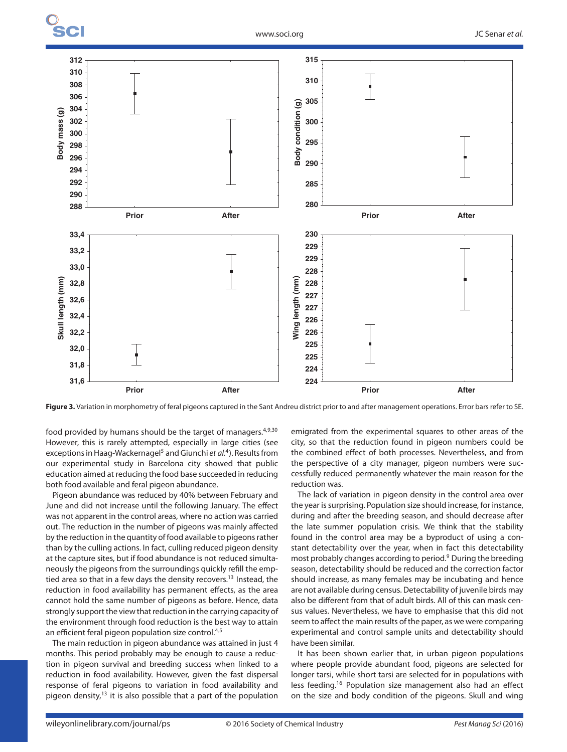

Figure 3. Variation in morphometry of feral pigeons captured in the Sant Andreu district prior to and after management operations. Error bars refer to SE.

food provided by humans should be the target of managers.4*,*9*,*<sup>30</sup> However, this is rarely attempted, especially in large cities (see exceptions in Haag-Wackernagel<sup>5</sup> and Giunchi et al.<sup>4</sup>). Results from our experimental study in Barcelona city showed that public education aimed at reducing the food base succeeded in reducing both food available and feral pigeon abundance.

Pigeon abundance was reduced by 40% between February and June and did not increase until the following January. The effect was not apparent in the control areas, where no action was carried out. The reduction in the number of pigeons was mainly affected by the reduction in the quantity of food available to pigeons rather than by the culling actions. In fact, culling reduced pigeon density at the capture sites, but if food abundance is not reduced simultaneously the pigeons from the surroundings quickly refill the emptied area so that in a few days the density recovers.<sup>13</sup> Instead, the reduction in food availability has permanent effects, as the area cannot hold the same number of pigeons as before. Hence, data strongly support the view that reduction in the carrying capacity of the environment through food reduction is the best way to attain an efficient feral pigeon population size control.4*,*<sup>5</sup>

The main reduction in pigeon abundance was attained in just 4 months. This period probably may be enough to cause a reduction in pigeon survival and breeding success when linked to a reduction in food availability. However, given the fast dispersal response of feral pigeons to variation in food availability and pigeon density, $13$  it is also possible that a part of the population emigrated from the experimental squares to other areas of the city, so that the reduction found in pigeon numbers could be the combined effect of both processes. Nevertheless, and from the perspective of a city manager, pigeon numbers were successfully reduced permanently whatever the main reason for the reduction was.

The lack of variation in pigeon density in the control area over the year is surprising. Population size should increase, for instance, during and after the breeding season, and should decrease after the late summer population crisis. We think that the stability found in the control area may be a byproduct of using a constant detectability over the year, when in fact this detectability most probably changes according to period.9 During the breeding season, detectability should be reduced and the correction factor should increase, as many females may be incubating and hence are not available during census. Detectability of juvenile birds may also be different from that of adult birds. All of this can mask census values. Nevertheless, we have to emphasise that this did not seem to affect the main results of the paper, as we were comparing experimental and control sample units and detectability should have been similar.

It has been shown earlier that, in urban pigeon populations where people provide abundant food, pigeons are selected for longer tarsi, while short tarsi are selected for in populations with less feeding.16 Population size management also had an effect on the size and body condition of the pigeons. Skull and wing